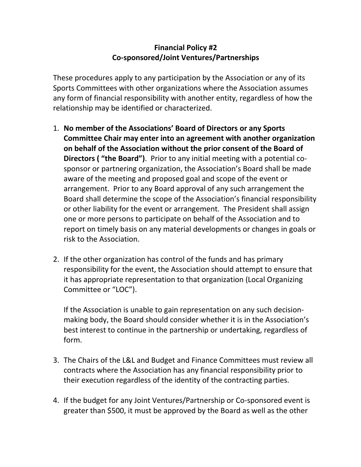## **Financial Policy #2 Co-sponsored/Joint Ventures/Partnerships**

These procedures apply to any participation by the Association or any of its Sports Committees with other organizations where the Association assumes any form of financial responsibility with another entity, regardless of how the relationship may be identified or characterized.

- 1. **No member of the Associations' Board of Directors or any Sports Committee Chair may enter into an agreement with another organization on behalf of the Association without the prior consent of the Board of Directors ( "the Board")**. Prior to any initial meeting with a potential cosponsor or partnering organization, the Association's Board shall be made aware of the meeting and proposed goal and scope of the event or arrangement. Prior to any Board approval of any such arrangement the Board shall determine the scope of the Association's financial responsibility or other liability for the event or arrangement. The President shall assign one or more persons to participate on behalf of the Association and to report on timely basis on any material developments or changes in goals or risk to the Association.
- 2. If the other organization has control of the funds and has primary responsibility for the event, the Association should attempt to ensure that it has appropriate representation to that organization (Local Organizing Committee or "LOC").

If the Association is unable to gain representation on any such decisionmaking body, the Board should consider whether it is in the Association's best interest to continue in the partnership or undertaking, regardless of form.

- 3. The Chairs of the L&L and Budget and Finance Committees must review all contracts where the Association has any financial responsibility prior to their execution regardless of the identity of the contracting parties.
- 4. If the budget for any Joint Ventures/Partnership or Co-sponsored event is greater than \$500, it must be approved by the Board as well as the other